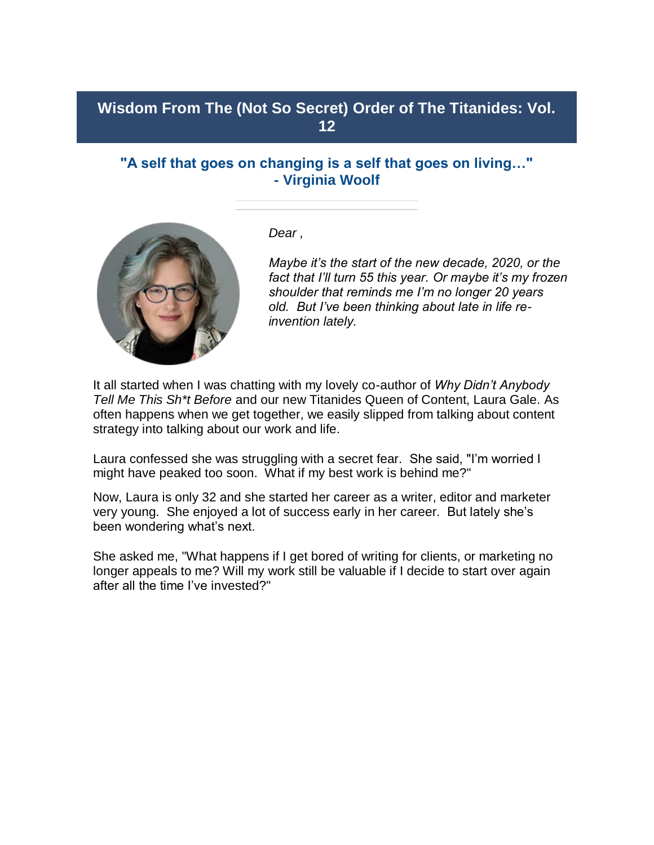## **Wisdom From The (Not So Secret) Order of The Titanides: Vol. 12**

## **"A self that goes on changing is a self that goes on living…" - Virginia Woolf**



*Dear ,*

*Maybe it's the start of the new decade, 2020, or the fact that I'll turn 55 this year. Or maybe it's my frozen shoulder that reminds me I'm no longer 20 years old. But I've been thinking about late in life reinvention lately.*

It all started when I was chatting with my lovely co-author of *Why Didn't Anybody Tell Me This Sh\*t Before* and our new Titanides Queen of Content, Laura Gale. As often happens when we get together, we easily slipped from talking about content strategy into talking about our work and life.

Laura confessed she was struggling with a secret fear. She said, "I'm worried I might have peaked too soon. What if my best work is behind me?"

Now, Laura is only 32 and she started her career as a writer, editor and marketer very young. She enjoyed a lot of success early in her career. But lately she's been wondering what's next.

She asked me, "What happens if I get bored of writing for clients, or marketing no longer appeals to me? Will my work still be valuable if I decide to start over again after all the time I've invested?"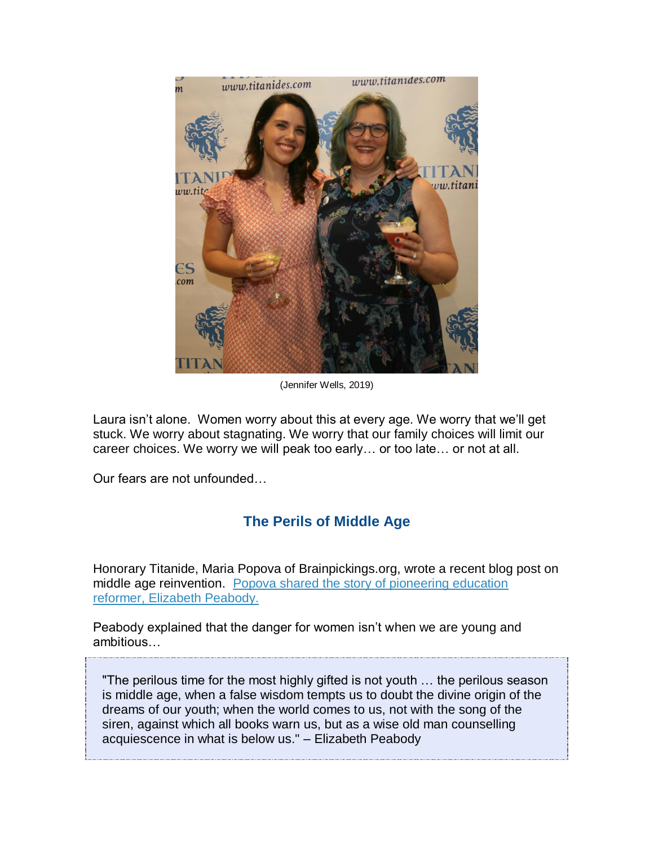

(Jennifer Wells, 2019)

Laura isn't alone. Women worry about this at every age. We worry that we'll get stuck. We worry about stagnating. We worry that our family choices will limit our career choices. We worry we will peak too early… or too late… or not at all.

Our fears are not unfounded…

# **The Perils of Middle Age**

Honorary Titanide, Maria Popova of Brainpickings.org, wrote a recent blog post on middle age reinvention. [Popova shared the story of pioneering education](https://titanidesllc.acemlna.com/lt.php?notrack=1¬rack=1&s=bad97c655476f96a390a72c05a742011&i=147A197A6A988)  [reformer, Elizabeth Peabody.](https://titanidesllc.acemlna.com/lt.php?notrack=1¬rack=1&s=bad97c655476f96a390a72c05a742011&i=147A197A6A988)

Peabody explained that the danger for women isn't when we are young and ambitious…

"The perilous time for the most highly gifted is not youth … the perilous season is middle age, when a false wisdom tempts us to doubt the divine origin of the dreams of our youth; when the world comes to us, not with the song of the siren, against which all books warn us, but as a wise old man counselling acquiescence in what is below us." – Elizabeth Peabody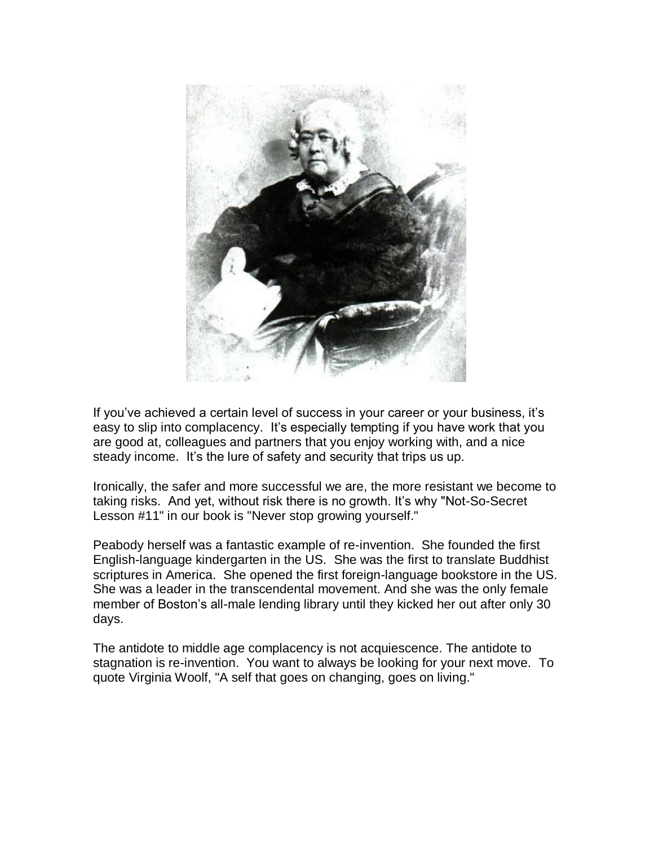

If you've achieved a certain level of success in your career or your business, it's easy to slip into complacency. It's especially tempting if you have work that you are good at, colleagues and partners that you enjoy working with, and a nice steady income. It's the lure of safety and security that trips us up.

Ironically, the safer and more successful we are, the more resistant we become to taking risks. And yet, without risk there is no growth. It's why "Not-So-Secret Lesson #11" in our book is "Never stop growing yourself."

Peabody herself was a fantastic example of re-invention. She founded the first English-language kindergarten in the US. She was the first to translate Buddhist scriptures in America. She opened the first foreign-language bookstore in the US. She was a leader in the transcendental movement. And she was the only female member of Boston's all-male lending library until they kicked her out after only 30 days.

The antidote to middle age complacency is not acquiescence. The antidote to stagnation is re-invention. You want to always be looking for your next move. To quote Virginia Woolf, "A self that goes on changing, goes on living."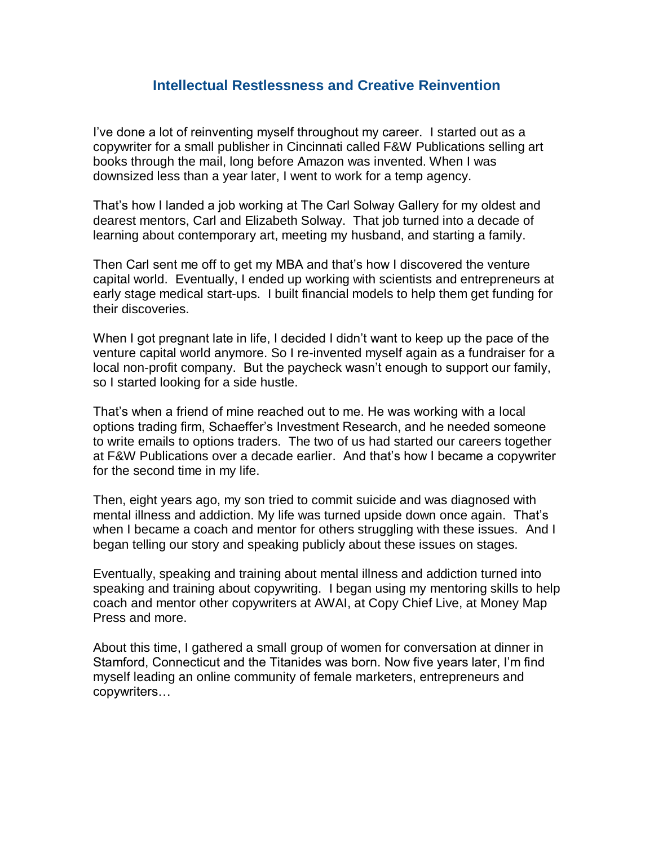#### **Intellectual Restlessness and Creative Reinvention**

I've done a lot of reinventing myself throughout my career. I started out as a copywriter for a small publisher in Cincinnati called F&W Publications selling art books through the mail, long before Amazon was invented. When I was downsized less than a year later, I went to work for a temp agency.

That's how I landed a job working at The Carl Solway Gallery for my oldest and dearest mentors, Carl and Elizabeth Solway. That job turned into a decade of learning about contemporary art, meeting my husband, and starting a family.

Then Carl sent me off to get my MBA and that's how I discovered the venture capital world. Eventually, I ended up working with scientists and entrepreneurs at early stage medical start-ups. I built financial models to help them get funding for their discoveries.

When I got pregnant late in life, I decided I didn't want to keep up the pace of the venture capital world anymore. So I re-invented myself again as a fundraiser for a local non-profit company. But the paycheck wasn't enough to support our family, so I started looking for a side hustle.

That's when a friend of mine reached out to me. He was working with a local options trading firm, Schaeffer's Investment Research, and he needed someone to write emails to options traders. The two of us had started our careers together at F&W Publications over a decade earlier. And that's how I became a copywriter for the second time in my life.

Then, eight years ago, my son tried to commit suicide and was diagnosed with mental illness and addiction. My life was turned upside down once again. That's when I became a coach and mentor for others struggling with these issues. And I began telling our story and speaking publicly about these issues on stages.

Eventually, speaking and training about mental illness and addiction turned into speaking and training about copywriting. I began using my mentoring skills to help coach and mentor other copywriters at AWAI, at Copy Chief Live, at Money Map Press and more.

About this time, I gathered a small group of women for conversation at dinner in Stamford, Connecticut and the Titanides was born. Now five years later, I'm find myself leading an online community of female marketers, entrepreneurs and copywriters…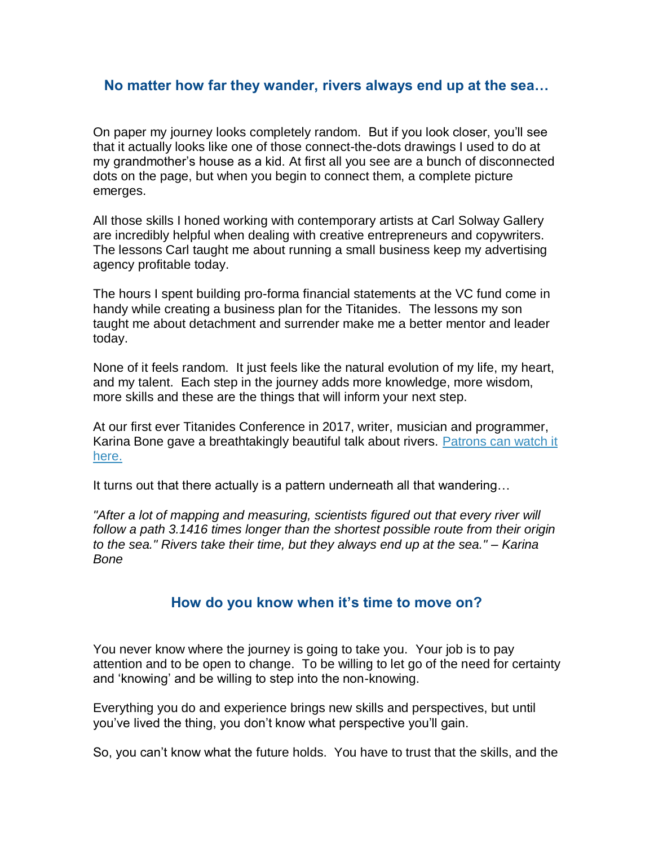#### **No matter how far they wander, rivers always end up at the sea…**

On paper my journey looks completely random. But if you look closer, you'll see that it actually looks like one of those connect-the-dots drawings I used to do at my grandmother's house as a kid. At first all you see are a bunch of disconnected dots on the page, but when you begin to connect them, a complete picture emerges.

All those skills I honed working with contemporary artists at Carl Solway Gallery are incredibly helpful when dealing with creative entrepreneurs and copywriters. The lessons Carl taught me about running a small business keep my advertising agency profitable today.

The hours I spent building pro-forma financial statements at the VC fund come in handy while creating a business plan for the Titanides. The lessons my son taught me about detachment and surrender make me a better mentor and leader today.

None of it feels random. It just feels like the natural evolution of my life, my heart, and my talent. Each step in the journey adds more knowledge, more wisdom, more skills and these are the things that will inform your next step.

At our first ever Titanides Conference in 2017, writer, musician and programmer, Karina Bone gave a breathtakingly beautiful talk about rivers. [Patrons can watch it](https://titanidesllc.acemlna.com/lt.php?notrack=1¬rack=1&s=bad97c655476f96a390a72c05a742011&i=147A197A6A989)  [here.](https://titanidesllc.acemlna.com/lt.php?notrack=1¬rack=1&s=bad97c655476f96a390a72c05a742011&i=147A197A6A989)

It turns out that there actually is a pattern underneath all that wandering...

*"After a lot of mapping and measuring, scientists figured out that every river will follow a path 3.1416 times longer than the shortest possible route from their origin to the sea." Rivers take their time, but they always end up at the sea." – Karina Bone*

#### **How do you know when it's time to move on?**

You never know where the journey is going to take you. Your job is to pay attention and to be open to change. To be willing to let go of the need for certainty and 'knowing' and be willing to step into the non-knowing.

Everything you do and experience brings new skills and perspectives, but until you've lived the thing, you don't know what perspective you'll gain.

So, you can't know what the future holds. You have to trust that the skills, and the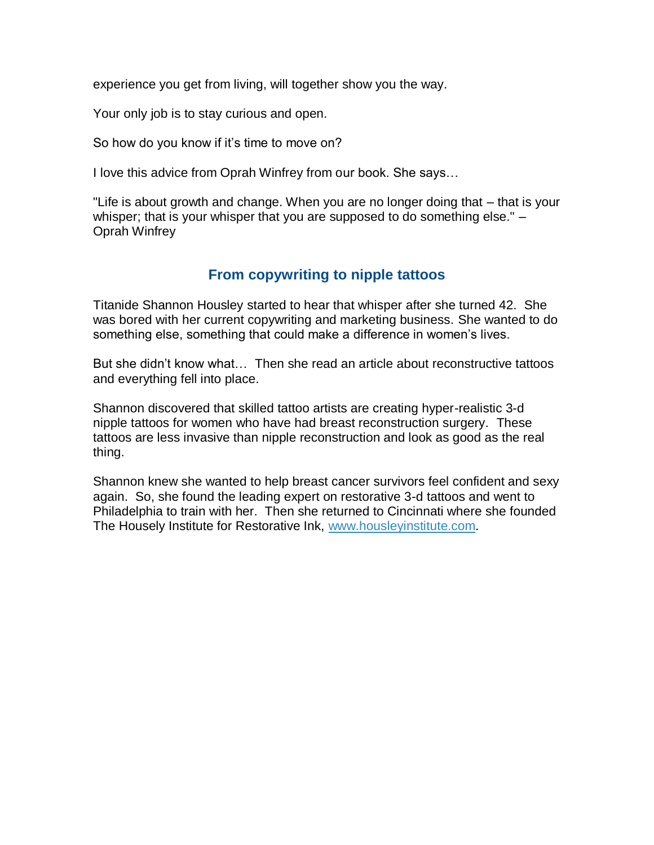experience you get from living, will together show you the way.

Your only job is to stay curious and open.

So how do you know if it's time to move on?

I love this advice from Oprah Winfrey from our book. She says…

"Life is about growth and change. When you are no longer doing that – that is your whisper; that is your whisper that you are supposed to do something else." – Oprah Winfrey

## **From copywriting to nipple tattoos**

Titanide Shannon Housley started to hear that whisper after she turned 42. She was bored with her current copywriting and marketing business. She wanted to do something else, something that could make a difference in women's lives.

But she didn't know what… Then she read an article about reconstructive tattoos and everything fell into place.

Shannon discovered that skilled tattoo artists are creating hyper-realistic 3-d nipple tattoos for women who have had breast reconstruction surgery. These tattoos are less invasive than nipple reconstruction and look as good as the real thing.

Shannon knew she wanted to help breast cancer survivors feel confident and sexy again. So, she found the leading expert on restorative 3-d tattoos and went to Philadelphia to train with her. Then she returned to Cincinnati where she founded The Housely Institute for Restorative Ink, [www.housleyinstitute.com.](https://titanidesllc.acemlna.com/lt.php?notrack=1¬rack=1&s=bad97c655476f96a390a72c05a742011&i=147A197A6A990)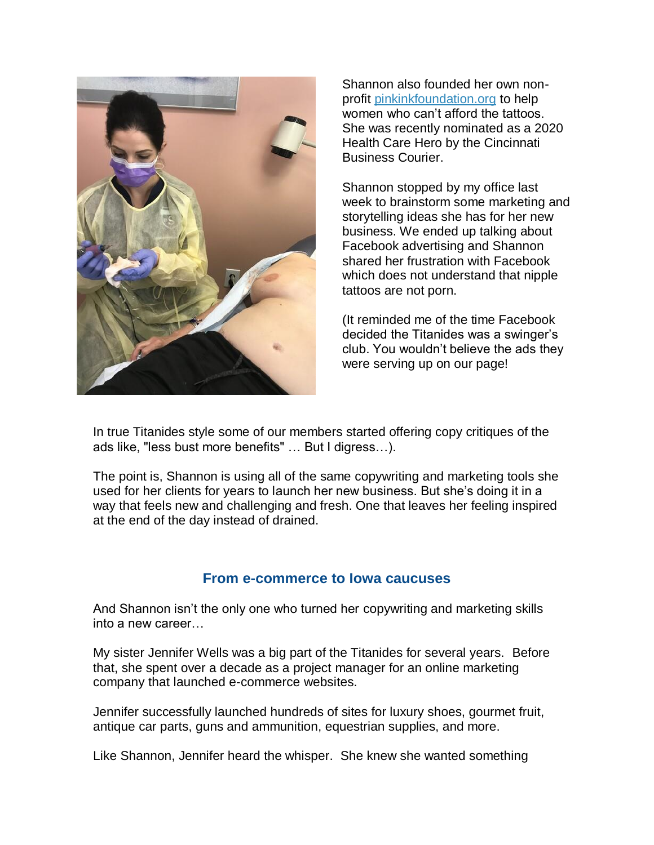

Shannon also founded her own nonprofit [pinkinkfoundation.org](https://titanidesllc.acemlna.com/lt.php?notrack=1¬rack=1&s=bad97c655476f96a390a72c05a742011&i=147A197A6A991) to help women who can't afford the tattoos. She was recently nominated as a 2020 Health Care Hero by the Cincinnati Business Courier.

Shannon stopped by my office last week to brainstorm some marketing and storytelling ideas she has for her new business. We ended up talking about Facebook advertising and Shannon shared her frustration with Facebook which does not understand that nipple tattoos are not porn.

(It reminded me of the time Facebook decided the Titanides was a swinger's club. You wouldn't believe the ads they were serving up on our page!

In true Titanides style some of our members started offering copy critiques of the ads like, "less bust more benefits" … But I digress…).

The point is, Shannon is using all of the same copywriting and marketing tools she used for her clients for years to launch her new business. But she's doing it in a way that feels new and challenging and fresh. One that leaves her feeling inspired at the end of the day instead of drained.

#### **From e-commerce to Iowa caucuses**

And Shannon isn't the only one who turned her copywriting and marketing skills into a new career…

My sister Jennifer Wells was a big part of the Titanides for several years. Before that, she spent over a decade as a project manager for an online marketing company that launched e-commerce websites.

Jennifer successfully launched hundreds of sites for luxury shoes, gourmet fruit, antique car parts, guns and ammunition, equestrian supplies, and more.

Like Shannon, Jennifer heard the whisper. She knew she wanted something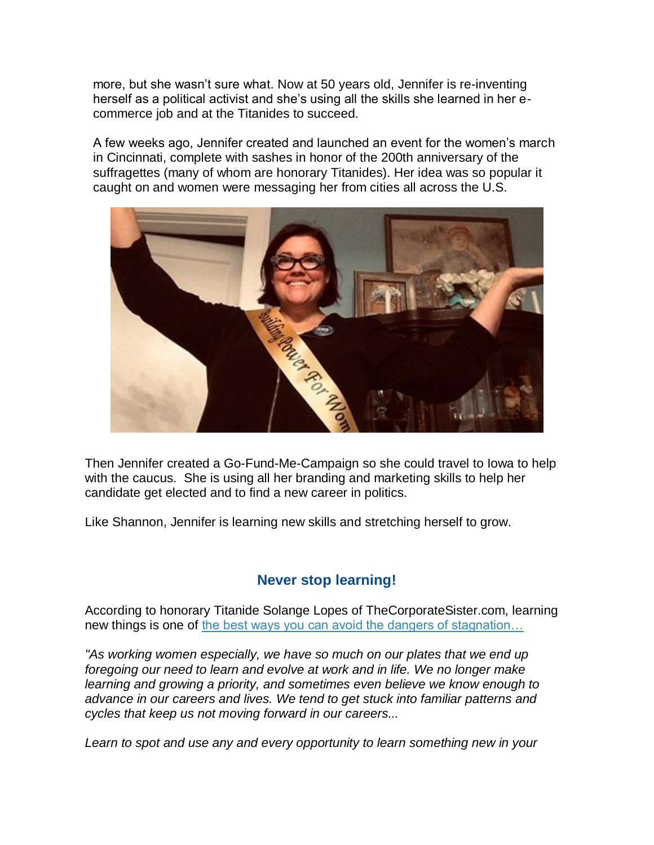more, but she wasn't sure what. Now at 50 years old, Jennifer is re-inventing herself as a political activist and she's using all the skills she learned in her ecommerce job and at the Titanides to succeed.

A few weeks ago, Jennifer created and launched an event for the women's march in Cincinnati, complete with sashes in honor of the 200th anniversary of the suffragettes (many of whom are honorary Titanides). Her idea was so popular it caught on and women were messaging her from cities all across the U.S.



Then Jennifer created a Go-Fund-Me-Campaign so she could travel to Iowa to help with the caucus. She is using all her branding and marketing skills to help her candidate get elected and to find a new career in politics.

Like Shannon, Jennifer is learning new skills and stretching herself to grow.

# **Never stop learning!**

According to honorary Titanide Solange Lopes of TheCorporateSister.com, learning new things is one of the best ways you can avoid the dangers of stagnation...

*"As working women especially, we have so much on our plates that we end up foregoing our need to learn and evolve at work and in life. We no longer make learning and growing a priority, and sometimes even believe we know enough to advance in our careers and lives. We tend to get stuck into familiar patterns and cycles that keep us not moving forward in our careers...*

*Learn to spot and use any and every opportunity to learn something new in your*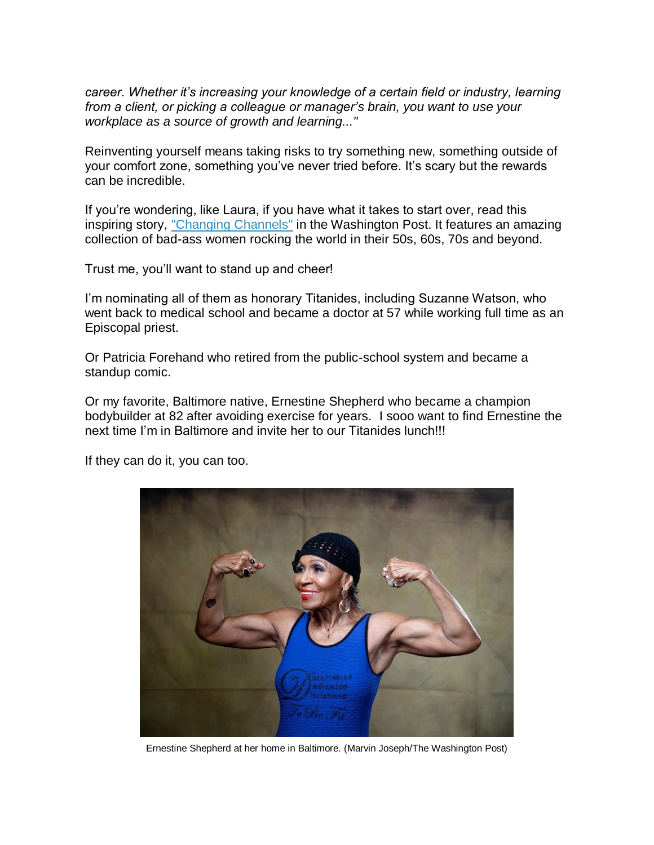*career. Whether it's increasing your knowledge of a certain field or industry, learning from a client, or picking a colleague or manager's brain, you want to use your workplace as a source of growth and learning..."*

Reinventing yourself means taking risks to try something new, something outside of your comfort zone, something you've never tried before. It's scary but the rewards can be incredible.

If you're wondering, like Laura, if you have what it takes to start over, read this inspiring story, ["Changing Channels"](https://titanidesllc.acemlna.com/lt.php?notrack=1¬rack=1&s=bad97c655476f96a390a72c05a742011&i=147A197A6A993) in the Washington Post. It features an amazing collection of bad-ass women rocking the world in their 50s, 60s, 70s and beyond.

Trust me, you'll want to stand up and cheer!

I'm nominating all of them as honorary Titanides, including Suzanne Watson, who went back to medical school and became a doctor at 57 while working full time as an Episcopal priest.

Or Patricia Forehand who retired from the public-school system and became a standup comic.

Or my favorite, Baltimore native, Ernestine Shepherd who became a champion bodybuilder at 82 after avoiding exercise for years. I sooo want to find Ernestine the next time I'm in Baltimore and invite her to our Titanides lunch!!!

If they can do it, you can too.



Ernestine Shepherd at her home in Baltimore. (Marvin Joseph/The Washington Post)